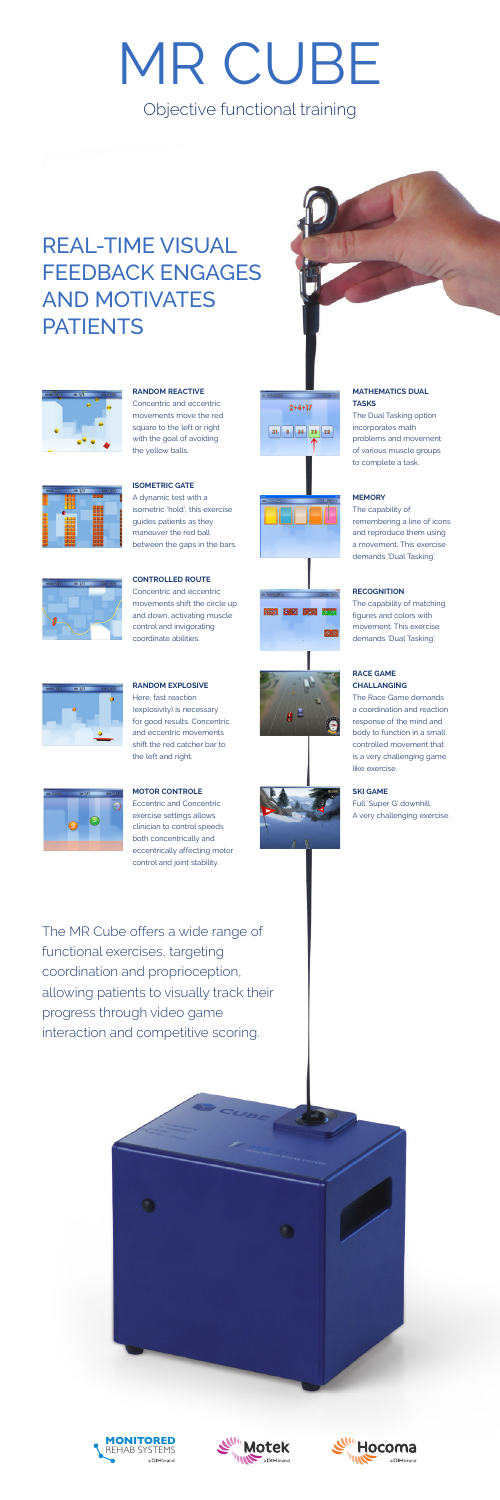The MR Cube offers a wide range of functional exercises, targeting coordination and proprioception, allowing patients to visually track their progress through video game interaction and competitive scoring.



## **RANDOM REACTIVE**

Concentric and eccentric movements move the red square to the left or right with the goal of avoiding the yellow balls.





 $2 + 4 + 17$ 

 $21$  0 25 23 22



between the gaps in the bars.

## **CONTROLLED ROUTE**

Concentric and eccentric movements shift the circle up and down, activating muscle control and invigorating coordinate abilities.

## **RANDOM EXPLOSIVE** Here, fast reaction (explosivity) is necessary for good results. Concentric and eccentric movements

shift the red catcher bar to

the left and right.



**MOTOR CONTROLE** Eccentric and Concentric exercise settings allows clinician to control speeds both concentrically and eccentrically affecting motor control and joint stability.



Objective functional training

## REAL-TIME VISUAL FEEDBACK ENGAGES AND MOTIVATES **PATIENTS**





# MR CUBE

## **MATHEMATICS DUAL TASKS**

The Dual Tasking option incorporates math problems and movement of various muscle groups to complete a task.

## **MEMORY**

The capability of remembering a line of icons and reproduce them using a movement, This exercise demands 'Dual Tasking'.

## **RECOGNITION**

The capability of matching figures and colors with movement. This exercise demands 'Dual Tasking'.

### **RACE GAME CHALLANGING**

The Race Game demands a coordination and reaction response of the mind and body to function in a small controlled movement that



is a very challenging game like exercise.

**SKI GAME**  Full 'Super G' downhill. A very challenging exercise.